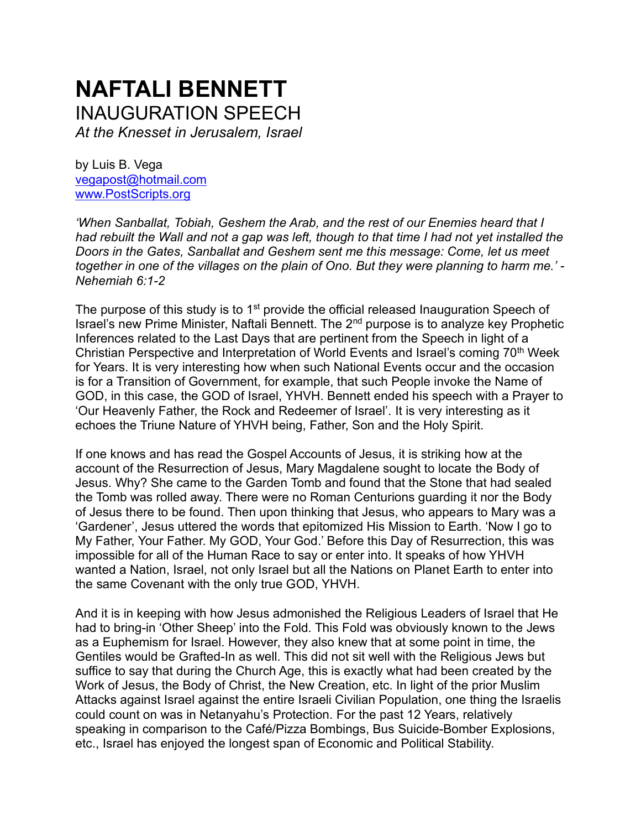# **NAFTALI BENNETT**  INAUGURATION SPEECH

*At the Knesset in Jerusalem, Israel*

by Luis B. Vega [vegapost@hotmail.com](mailto:vegapost@hotmail.com) [www.PostScripts.org](http://www.postscripts.org/)

*'When Sanballat, Tobiah, Geshem the Arab, and the rest of our Enemies heard that I had rebuilt the Wall and not a gap was left, though to that time I had not yet installed the Doors in the Gates, Sanballat and Geshem sent me this message: Come, let us meet together in one of the villages on the plain of Ono. But they were planning to harm me.' - Nehemiah 6:1-2*

The purpose of this study is to  $1<sup>st</sup>$  provide the official released Inauguration Speech of Israel's new Prime Minister, Naftali Bennett. The 2nd purpose is to analyze key Prophetic Inferences related to the Last Days that are pertinent from the Speech in light of a Christian Perspective and Interpretation of World Events and Israel's coming 70<sup>th</sup> Week for Years. It is very interesting how when such National Events occur and the occasion is for a Transition of Government, for example, that such People invoke the Name of GOD, in this case, the GOD of Israel, YHVH. Bennett ended his speech with a Prayer to 'Our Heavenly Father, the Rock and Redeemer of Israel'. It is very interesting as it echoes the Triune Nature of YHVH being, Father, Son and the Holy Spirit.

If one knows and has read the Gospel Accounts of Jesus, it is striking how at the account of the Resurrection of Jesus, Mary Magdalene sought to locate the Body of Jesus. Why? She came to the Garden Tomb and found that the Stone that had sealed the Tomb was rolled away. There were no Roman Centurions guarding it nor the Body of Jesus there to be found. Then upon thinking that Jesus, who appears to Mary was a 'Gardener', Jesus uttered the words that epitomized His Mission to Earth. 'Now I go to My Father, Your Father. My GOD, Your God.' Before this Day of Resurrection, this was impossible for all of the Human Race to say or enter into. It speaks of how YHVH wanted a Nation, Israel, not only Israel but all the Nations on Planet Earth to enter into the same Covenant with the only true GOD, YHVH.

And it is in keeping with how Jesus admonished the Religious Leaders of Israel that He had to bring-in 'Other Sheep' into the Fold. This Fold was obviously known to the Jews as a Euphemism for Israel. However, they also knew that at some point in time, the Gentiles would be Grafted-In as well. This did not sit well with the Religious Jews but suffice to say that during the Church Age, this is exactly what had been created by the Work of Jesus, the Body of Christ, the New Creation, etc. In light of the prior Muslim Attacks against Israel against the entire Israeli Civilian Population, one thing the Israelis could count on was in Netanyahu's Protection. For the past 12 Years, relatively speaking in comparison to the Café/Pizza Bombings, Bus Suicide-Bomber Explosions, etc., Israel has enjoyed the longest span of Economic and Political Stability.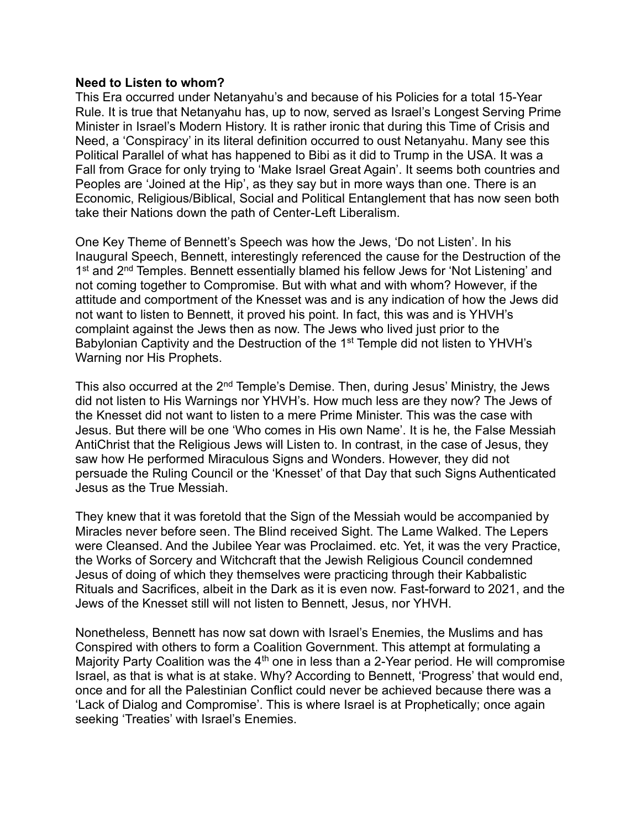#### **Need to Listen to whom?**

This Era occurred under Netanyahu's and because of his Policies for a total 15-Year Rule. It is true that Netanyahu has, up to now, served as Israel's Longest Serving Prime Minister in Israel's Modern History. It is rather ironic that during this Time of Crisis and Need, a 'Conspiracy' in its literal definition occurred to oust Netanyahu. Many see this Political Parallel of what has happened to Bibi as it did to Trump in the USA. It was a Fall from Grace for only trying to 'Make Israel Great Again'. It seems both countries and Peoples are 'Joined at the Hip', as they say but in more ways than one. There is an Economic, Religious/Biblical, Social and Political Entanglement that has now seen both take their Nations down the path of Center-Left Liberalism.

One Key Theme of Bennett's Speech was how the Jews, 'Do not Listen'. In his Inaugural Speech, Bennett, interestingly referenced the cause for the Destruction of the 1<sup>st</sup> and 2<sup>nd</sup> Temples. Bennett essentially blamed his fellow Jews for 'Not Listening' and not coming together to Compromise. But with what and with whom? However, if the attitude and comportment of the Knesset was and is any indication of how the Jews did not want to listen to Bennett, it proved his point. In fact, this was and is YHVH's complaint against the Jews then as now. The Jews who lived just prior to the Babylonian Captivity and the Destruction of the 1<sup>st</sup> Temple did not listen to YHVH's Warning nor His Prophets.

This also occurred at the  $2<sup>nd</sup>$  Temple's Demise. Then, during Jesus' Ministry, the Jews did not listen to His Warnings nor YHVH's. How much less are they now? The Jews of the Knesset did not want to listen to a mere Prime Minister. This was the case with Jesus. But there will be one 'Who comes in His own Name'. It is he, the False Messiah AntiChrist that the Religious Jews will Listen to. In contrast, in the case of Jesus, they saw how He performed Miraculous Signs and Wonders. However, they did not persuade the Ruling Council or the 'Knesset' of that Day that such Signs Authenticated Jesus as the True Messiah.

They knew that it was foretold that the Sign of the Messiah would be accompanied by Miracles never before seen. The Blind received Sight. The Lame Walked. The Lepers were Cleansed. And the Jubilee Year was Proclaimed. etc. Yet, it was the very Practice, the Works of Sorcery and Witchcraft that the Jewish Religious Council condemned Jesus of doing of which they themselves were practicing through their Kabbalistic Rituals and Sacrifices, albeit in the Dark as it is even now. Fast-forward to 2021, and the Jews of the Knesset still will not listen to Bennett, Jesus, nor YHVH.

Nonetheless, Bennett has now sat down with Israel's Enemies, the Muslims and has Conspired with others to form a Coalition Government. This attempt at formulating a Majority Party Coalition was the  $4<sup>th</sup>$  one in less than a 2-Year period. He will compromise Israel, as that is what is at stake. Why? According to Bennett, 'Progress' that would end, once and for all the Palestinian Conflict could never be achieved because there was a 'Lack of Dialog and Compromise'. This is where Israel is at Prophetically; once again seeking 'Treaties' with Israel's Enemies.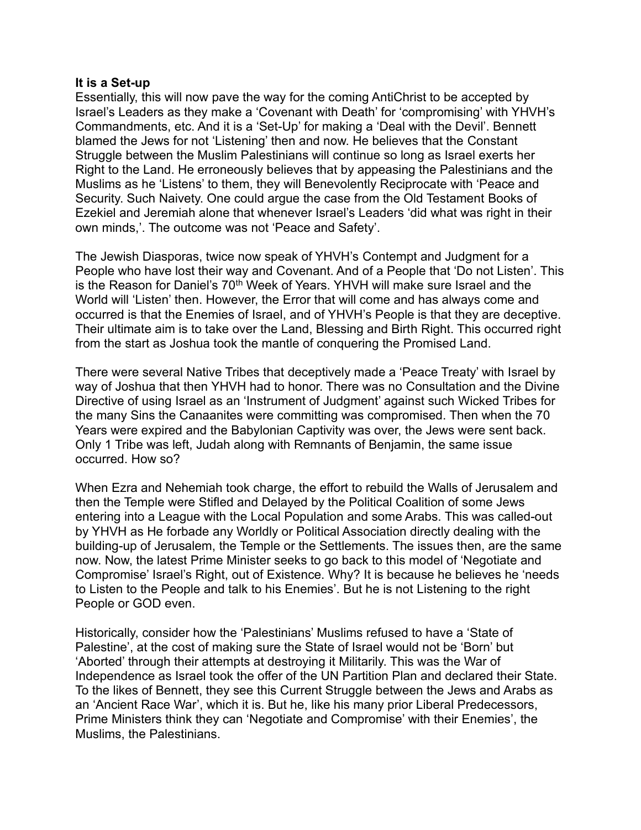#### **It is a Set-up**

Essentially, this will now pave the way for the coming AntiChrist to be accepted by Israel's Leaders as they make a 'Covenant with Death' for 'compromising' with YHVH's Commandments, etc. And it is a 'Set-Up' for making a 'Deal with the Devil'. Bennett blamed the Jews for not 'Listening' then and now. He believes that the Constant Struggle between the Muslim Palestinians will continue so long as Israel exerts her Right to the Land. He erroneously believes that by appeasing the Palestinians and the Muslims as he 'Listens' to them, they will Benevolently Reciprocate with 'Peace and Security. Such Naivety. One could argue the case from the Old Testament Books of Ezekiel and Jeremiah alone that whenever Israel's Leaders 'did what was right in their own minds,'. The outcome was not 'Peace and Safety'.

The Jewish Diasporas, twice now speak of YHVH's Contempt and Judgment for a People who have lost their way and Covenant. And of a People that 'Do not Listen'. This is the Reason for Daniel's  $70<sup>th</sup>$  Week of Years. YHVH will make sure Israel and the World will 'Listen' then. However, the Error that will come and has always come and occurred is that the Enemies of Israel, and of YHVH's People is that they are deceptive. Their ultimate aim is to take over the Land, Blessing and Birth Right. This occurred right from the start as Joshua took the mantle of conquering the Promised Land.

There were several Native Tribes that deceptively made a 'Peace Treaty' with Israel by way of Joshua that then YHVH had to honor. There was no Consultation and the Divine Directive of using Israel as an 'Instrument of Judgment' against such Wicked Tribes for the many Sins the Canaanites were committing was compromised. Then when the 70 Years were expired and the Babylonian Captivity was over, the Jews were sent back. Only 1 Tribe was left, Judah along with Remnants of Benjamin, the same issue occurred. How so?

When Ezra and Nehemiah took charge, the effort to rebuild the Walls of Jerusalem and then the Temple were Stifled and Delayed by the Political Coalition of some Jews entering into a League with the Local Population and some Arabs. This was called-out by YHVH as He forbade any Worldly or Political Association directly dealing with the building-up of Jerusalem, the Temple or the Settlements. The issues then, are the same now. Now, the latest Prime Minister seeks to go back to this model of 'Negotiate and Compromise' Israel's Right, out of Existence. Why? It is because he believes he 'needs to Listen to the People and talk to his Enemies'. But he is not Listening to the right People or GOD even.

Historically, consider how the 'Palestinians' Muslims refused to have a 'State of Palestine', at the cost of making sure the State of Israel would not be 'Born' but 'Aborted' through their attempts at destroying it Militarily. This was the War of Independence as Israel took the offer of the UN Partition Plan and declared their State. To the likes of Bennett, they see this Current Struggle between the Jews and Arabs as an 'Ancient Race War', which it is. But he, like his many prior Liberal Predecessors, Prime Ministers think they can 'Negotiate and Compromise' with their Enemies', the Muslims, the Palestinians.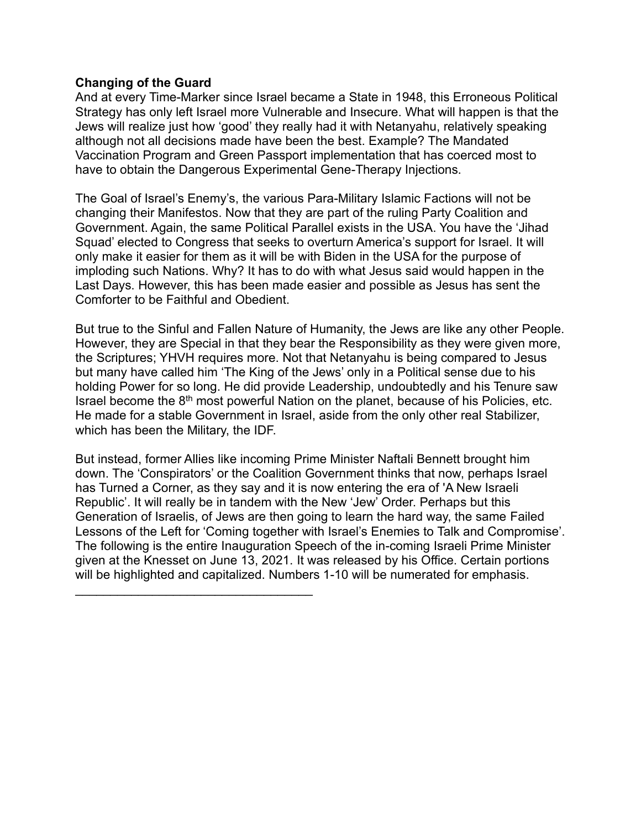### **Changing of the Guard**

And at every Time-Marker since Israel became a State in 1948, this Erroneous Political Strategy has only left Israel more Vulnerable and Insecure. What will happen is that the Jews will realize just how 'good' they really had it with Netanyahu, relatively speaking although not all decisions made have been the best. Example? The Mandated Vaccination Program and Green Passport implementation that has coerced most to have to obtain the Dangerous Experimental Gene-Therapy Injections.

The Goal of Israel's Enemy's, the various Para-Military Islamic Factions will not be changing their Manifestos. Now that they are part of the ruling Party Coalition and Government. Again, the same Political Parallel exists in the USA. You have the 'Jihad Squad' elected to Congress that seeks to overturn America's support for Israel. It will only make it easier for them as it will be with Biden in the USA for the purpose of imploding such Nations. Why? It has to do with what Jesus said would happen in the Last Days. However, this has been made easier and possible as Jesus has sent the Comforter to be Faithful and Obedient.

But true to the Sinful and Fallen Nature of Humanity, the Jews are like any other People. However, they are Special in that they bear the Responsibility as they were given more, the Scriptures; YHVH requires more. Not that Netanyahu is being compared to Jesus but many have called him 'The King of the Jews' only in a Political sense due to his holding Power for so long. He did provide Leadership, undoubtedly and his Tenure saw Israel become the  $8<sup>th</sup>$  most powerful Nation on the planet, because of his Policies, etc. He made for a stable Government in Israel, aside from the only other real Stabilizer, which has been the Military, the IDF.

But instead, former Allies like incoming Prime Minister Naftali Bennett brought him down. The 'Conspirators' or the Coalition Government thinks that now, perhaps Israel has Turned a Corner, as they say and it is now entering the era of 'A New Israeli Republic'. It will really be in tandem with the New 'Jew' Order. Perhaps but this Generation of Israelis, of Jews are then going to learn the hard way, the same Failed Lessons of the Left for 'Coming together with Israel's Enemies to Talk and Compromise'. The following is the entire Inauguration Speech of the in-coming Israeli Prime Minister given at the Knesset on June 13, 2021. It was released by his Office. Certain portions will be highlighted and capitalized. Numbers 1-10 will be numerated for emphasis.

\_\_\_\_\_\_\_\_\_\_\_\_\_\_\_\_\_\_\_\_\_\_\_\_\_\_\_\_\_\_\_\_\_\_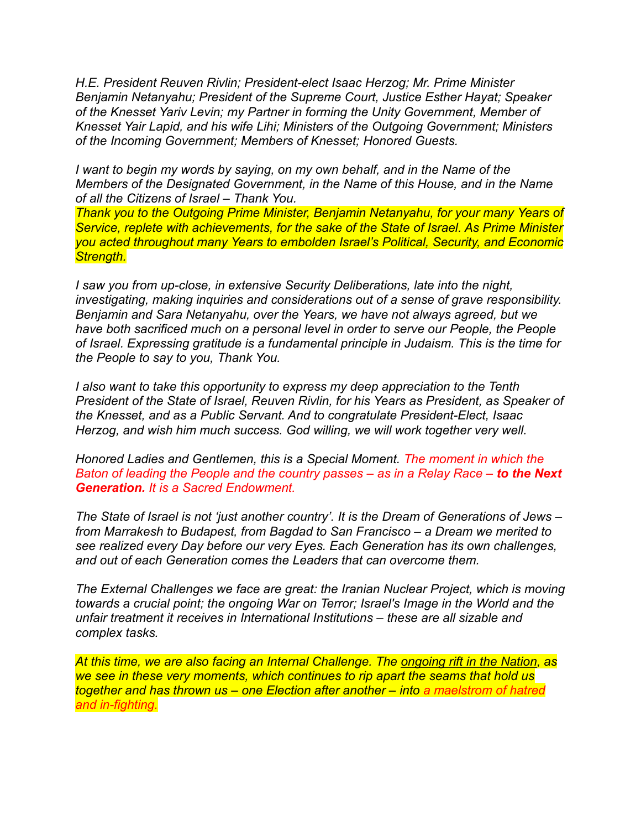*H.E. President Reuven Rivlin; President-elect Isaac Herzog; Mr. Prime Minister Benjamin Netanyahu; President of the Supreme Court, Justice Esther Hayat; Speaker of the Knesset Yariv Levin; my Partner in forming the Unity Government, Member of Knesset Yair Lapid, and his wife Lihi; Ministers of the Outgoing Government; Ministers of the Incoming Government; Members of Knesset; Honored Guests.*

*I* want to begin my words by saying, on my own behalf, and in the Name of the *Members of the Designated Government, in the Name of this House, and in the Name of all the Citizens of Israel – Thank You.* 

*Thank you to the Outgoing Prime Minister, Benjamin Netanyahu, for your many Years of Service, replete with achievements, for the sake of the State of Israel. As Prime Minister you acted throughout many Years to embolden Israel's Political, Security, and Economic Strength.*

*I saw you from up-close, in extensive Security Deliberations, late into the night, investigating, making inquiries and considerations out of a sense of grave responsibility. Benjamin and Sara Netanyahu, over the Years, we have not always agreed, but we have both sacrificed much on a personal level in order to serve our People, the People of Israel. Expressing gratitude is a fundamental principle in Judaism. This is the time for the People to say to you, Thank You.*

*I also want to take this opportunity to express my deep appreciation to the Tenth President of the State of Israel, Reuven Rivlin, for his Years as President, as Speaker of the Knesset, and as a Public Servant. And to congratulate President-Elect, Isaac Herzog, and wish him much success. God willing, we will work together very well.*

*Honored Ladies and Gentlemen, this is a Special Moment. The moment in which the Baton of leading the People and the country passes – as in a Relay Race – to the Next Generation. It is a Sacred Endowment.*

*The State of Israel is not 'just another country'. It is the Dream of Generations of Jews – from Marrakesh to Budapest, from Bagdad to San Francisco – a Dream we merited to see realized every Day before our very Eyes. Each Generation has its own challenges, and out of each Generation comes the Leaders that can overcome them.*

*The External Challenges we face are great: the Iranian Nuclear Project, which is moving towards a crucial point; the ongoing War on Terror; Israel's Image in the World and the unfair treatment it receives in International Institutions – these are all sizable and complex tasks.*

*At this time, we are also facing an Internal Challenge. The ongoing rift in the Nation, as we see in these very moments, which continues to rip apart the seams that hold us together and has thrown us – one Election after another – into a maelstrom of hatred and in-fighting.*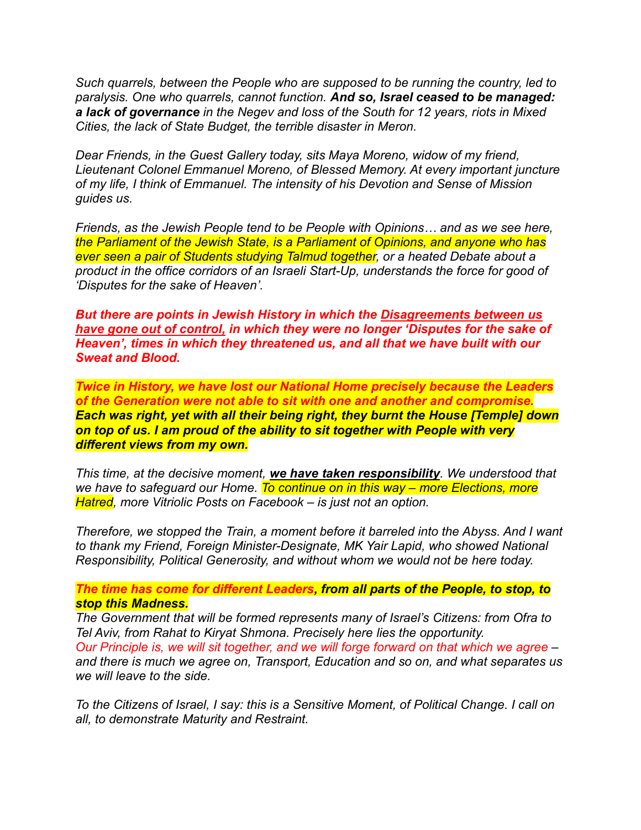*Such quarrels, between the People who are supposed to be running the country, led to paralysis. One who quarrels, cannot function. And so, Israel ceased to be managed: a lack of governance in the Negev and loss of the South for 12 years, riots in Mixed Cities, the lack of State Budget, the terrible disaster in Meron.*

*Dear Friends, in the Guest Gallery today, sits Maya Moreno, widow of my friend, Lieutenant Colonel Emmanuel Moreno, of Blessed Memory. At every important juncture of my life, I think of Emmanuel. The intensity of his Devotion and Sense of Mission guides us.*

*Friends, as the Jewish People tend to be People with Opinions… and as we see here, the Parliament of the Jewish State, is a Parliament of Opinions, and anyone who has ever seen a pair of Students studying Talmud together, or a heated Debate about a product in the office corridors of an Israeli Start-Up, understands the force for good of 'Disputes for the sake of Heaven'.* 

*But there are points in Jewish History in which the Disagreements between us have gone out of control, in which they were no longer 'Disputes for the sake of Heaven', times in which they threatened us, and all that we have built with our Sweat and Blood.*

*Twice in History, we have lost our National Home precisely because the Leaders of the Generation were not able to sit with one and another and compromise. Each was right, yet with all their being right, they burnt the House [Temple] down on top of us. I am proud of the ability to sit together with People with very different views from my own.*

*This time, at the decisive moment, we have taken responsibility. We understood that we have to safeguard our Home. To continue on in this way – more Elections, more Hatred, more Vitriolic Posts on Facebook – is just not an option.* 

*Therefore, we stopped the Train, a moment before it barreled into the Abyss. And I want to thank my Friend, Foreign Minister-Designate, MK Yair Lapid, who showed National Responsibility, Political Generosity, and without whom we would not be here today.*

*The time has come for different Leaders, from all parts of the People, to stop, to stop this Madness.*

*The Government that will be formed represents many of Israel's Citizens: from Ofra to Tel Aviv, from Rahat to Kiryat Shmona. Precisely here lies the opportunity.* 

*Our Principle is, we will sit together, and we will forge forward on that which we agree – and there is much we agree on, Transport, Education and so on, and what separates us we will leave to the side.*

*To the Citizens of Israel, I say: this is a Sensitive Moment, of Political Change. I call on all, to demonstrate Maturity and Restraint.*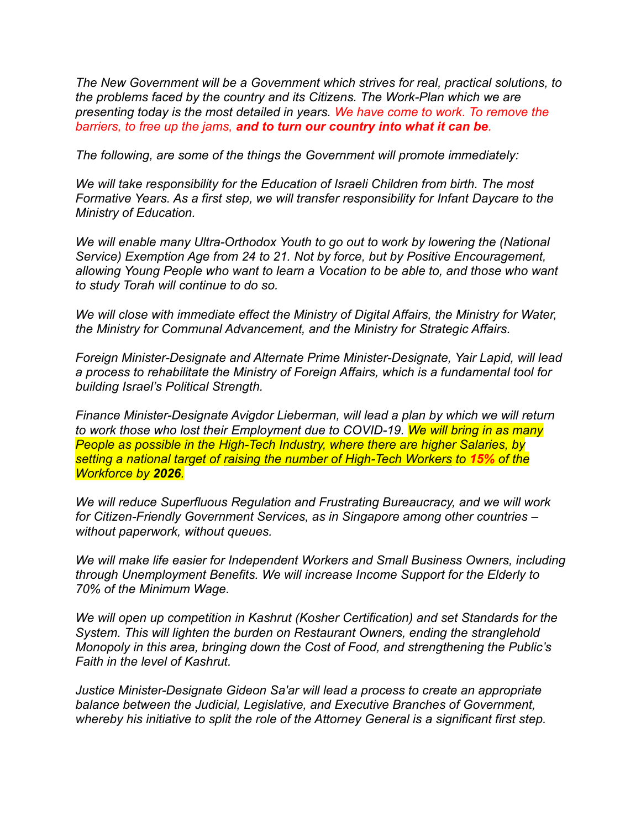*The New Government will be a Government which strives for real, practical solutions, to the problems faced by the country and its Citizens. The Work-Plan which we are presenting today is the most detailed in years. We have come to work. To remove the barriers, to free up the jams, and to turn our country into what it can be.*

*The following, are some of the things the Government will promote immediately:*

*We will take responsibility for the Education of Israeli Children from birth. The most Formative Years. As a first step, we will transfer responsibility for Infant Daycare to the Ministry of Education.*

*We will enable many Ultra-Orthodox Youth to go out to work by lowering the (National Service) Exemption Age from 24 to 21. Not by force, but by Positive Encouragement, allowing Young People who want to learn a Vocation to be able to, and those who want to study Torah will continue to do so.*

*We will close with immediate effect the Ministry of Digital Affairs, the Ministry for Water, the Ministry for Communal Advancement, and the Ministry for Strategic Affairs.*

*Foreign Minister-Designate and Alternate Prime Minister-Designate, Yair Lapid, will lead a process to rehabilitate the Ministry of Foreign Affairs, which is a fundamental tool for building Israel's Political Strength.*

*Finance Minister-Designate Avigdor Lieberman, will lead a plan by which we will return to work those who lost their Employment due to COVID-19. We will bring in as many People as possible in the High-Tech Industry, where there are higher Salaries, by setting a national target of raising the number of High-Tech Workers to 15% of the Workforce by 2026.*

*We will reduce Superfluous Regulation and Frustrating Bureaucracy, and we will work for Citizen-Friendly Government Services, as in Singapore among other countries – without paperwork, without queues.* 

*We will make life easier for Independent Workers and Small Business Owners, including through Unemployment Benefits. We will increase Income Support for the Elderly to 70% of the Minimum Wage.*

*We will open up competition in Kashrut (Kosher Certification) and set Standards for the System. This will lighten the burden on Restaurant Owners, ending the stranglehold Monopoly in this area, bringing down the Cost of Food, and strengthening the Public's Faith in the level of Kashrut.*

*Justice Minister-Designate Gideon Sa'ar will lead a process to create an appropriate balance between the Judicial, Legislative, and Executive Branches of Government, whereby his initiative to split the role of the Attorney General is a significant first step.*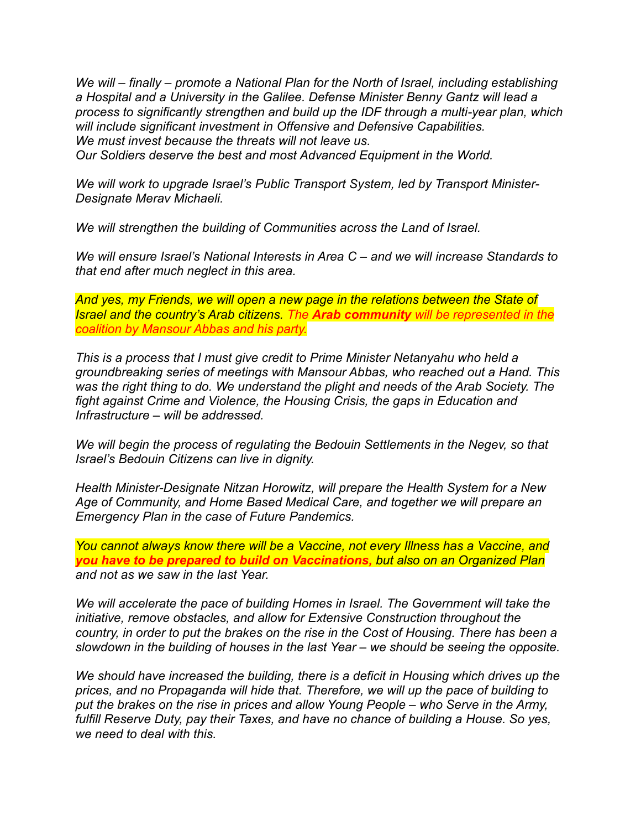*We will – finally – promote a National Plan for the North of Israel, including establishing a Hospital and a University in the Galilee. Defense Minister Benny Gantz will lead a process to significantly strengthen and build up the IDF through a multi-year plan, which will include significant investment in Offensive and Defensive Capabilities. We must invest because the threats will not leave us. Our Soldiers deserve the best and most Advanced Equipment in the World.*

*We will work to upgrade Israel's Public Transport System, led by Transport Minister-Designate Merav Michaeli.*

*We will strengthen the building of Communities across the Land of Israel.*

*We will ensure Israel's National Interests in Area C – and we will increase Standards to that end after much neglect in this area.*

*And yes, my Friends, we will open a new page in the relations between the State of Israel and the country's Arab citizens. The Arab community will be represented in the coalition by Mansour Abbas and his party.*

*This is a process that I must give credit to Prime Minister Netanyahu who held a groundbreaking series of meetings with Mansour Abbas, who reached out a Hand. This was the right thing to do. We understand the plight and needs of the Arab Society. The fight against Crime and Violence, the Housing Crisis, the gaps in Education and Infrastructure – will be addressed.*

*We will begin the process of regulating the Bedouin Settlements in the Negev, so that Israel's Bedouin Citizens can live in dignity.*

*Health Minister-Designate Nitzan Horowitz, will prepare the Health System for a New Age of Community, and Home Based Medical Care, and together we will prepare an Emergency Plan in the case of Future Pandemics.* 

*You cannot always know there will be a Vaccine, not every Illness has a Vaccine, and you have to be prepared to build on Vaccinations, but also on an Organized Plan and not as we saw in the last Year.*

*We will accelerate the pace of building Homes in Israel. The Government will take the initiative, remove obstacles, and allow for Extensive Construction throughout the country, in order to put the brakes on the rise in the Cost of Housing. There has been a slowdown in the building of houses in the last Year – we should be seeing the opposite.*

*We should have increased the building, there is a deficit in Housing which drives up the prices, and no Propaganda will hide that. Therefore, we will up the pace of building to put the brakes on the rise in prices and allow Young People – who Serve in the Army, fulfill Reserve Duty, pay their Taxes, and have no chance of building a House. So yes, we need to deal with this.*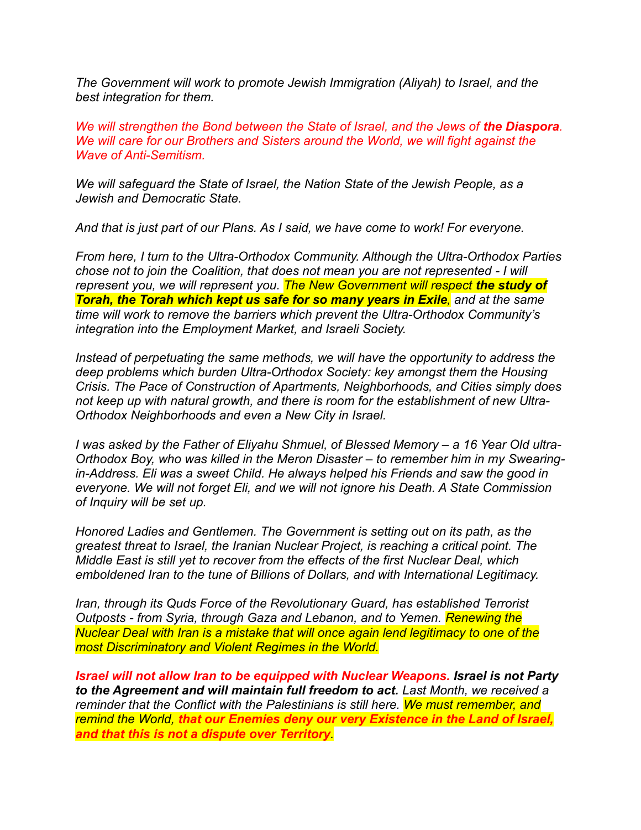*The Government will work to promote Jewish Immigration (Aliyah) to Israel, and the best integration for them.*

*We will strengthen the Bond between the State of Israel, and the Jews of the Diaspora. We will care for our Brothers and Sisters around the World, we will fight against the Wave of Anti-Semitism.*

*We will safeguard the State of Israel, the Nation State of the Jewish People, as a Jewish and Democratic State.*

*And that is just part of our Plans. As I said, we have come to work! For everyone.*

*From here, I turn to the Ultra-Orthodox Community. Although the Ultra-Orthodox Parties chose not to join the Coalition, that does not mean you are not represented - I will represent you, we will represent you. The New Government will respect the study of Torah, the Torah which kept us safe for so many years in Exile, and at the same time will work to remove the barriers which prevent the Ultra-Orthodox Community's integration into the Employment Market, and Israeli Society.* 

*Instead of perpetuating the same methods, we will have the opportunity to address the deep problems which burden Ultra-Orthodox Society: key amongst them the Housing Crisis. The Pace of Construction of Apartments, Neighborhoods, and Cities simply does not keep up with natural growth, and there is room for the establishment of new Ultra-Orthodox Neighborhoods and even a New City in Israel.*

*I was asked by the Father of Eliyahu Shmuel, of Blessed Memory – a 16 Year Old ultra-Orthodox Boy, who was killed in the Meron Disaster – to remember him in my Swearingin-Address. Eli was a sweet Child. He always helped his Friends and saw the good in everyone. We will not forget Eli, and we will not ignore his Death. A State Commission of Inquiry will be set up.*

*Honored Ladies and Gentlemen. The Government is setting out on its path, as the greatest threat to Israel, the Iranian Nuclear Project, is reaching a critical point. The Middle East is still yet to recover from the effects of the first Nuclear Deal, which emboldened Iran to the tune of Billions of Dollars, and with International Legitimacy.*

*Iran, through its Quds Force of the Revolutionary Guard, has established Terrorist Outposts - from Syria, through Gaza and Lebanon, and to Yemen. Renewing the Nuclear Deal with Iran is a mistake that will once again lend legitimacy to one of the most Discriminatory and Violent Regimes in the World.*

*Israel will not allow Iran to be equipped with Nuclear Weapons. Israel is not Party to the Agreement and will maintain full freedom to act. Last Month, we received a reminder that the Conflict with the Palestinians is still here. We must remember, and remind the World, that our Enemies deny our very Existence in the Land of Israel, and that this is not a dispute over Territory.*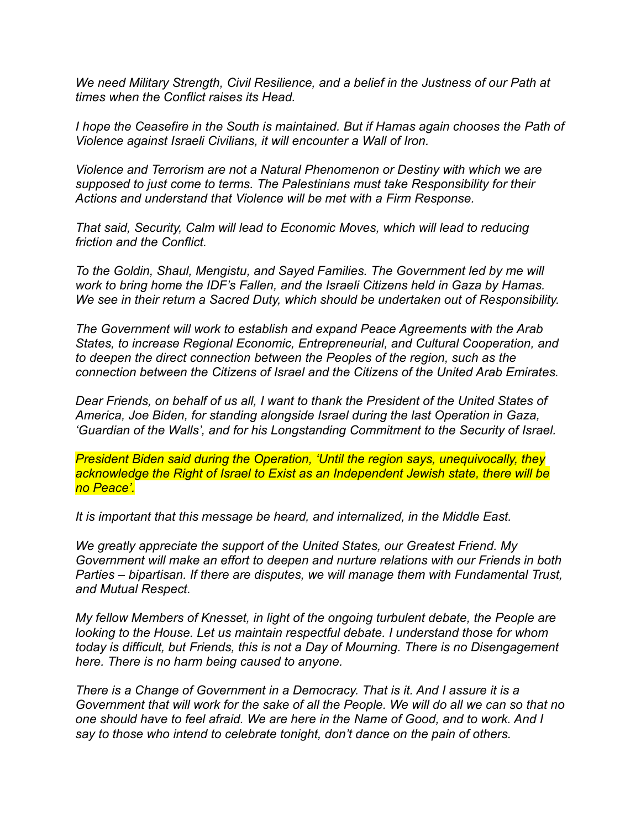*We need Military Strength, Civil Resilience, and a belief in the Justness of our Path at times when the Conflict raises its Head.*

*I hope the Ceasefire in the South is maintained. But if Hamas again chooses the Path of Violence against Israeli Civilians, it will encounter a Wall of Iron.*

*Violence and Terrorism are not a Natural Phenomenon or Destiny with which we are supposed to just come to terms. The Palestinians must take Responsibility for their Actions and understand that Violence will be met with a Firm Response.*

*That said, Security, Calm will lead to Economic Moves, which will lead to reducing friction and the Conflict.*

*To the Goldin, Shaul, Mengistu, and Sayed Families. The Government led by me will work to bring home the IDF's Fallen, and the Israeli Citizens held in Gaza by Hamas. We see in their return a Sacred Duty, which should be undertaken out of Responsibility.*

*The Government will work to establish and expand Peace Agreements with the Arab States, to increase Regional Economic, Entrepreneurial, and Cultural Cooperation, and to deepen the direct connection between the Peoples of the region, such as the connection between the Citizens of Israel and the Citizens of the United Arab Emirates.*

*Dear Friends, on behalf of us all, I want to thank the President of the United States of America, Joe Biden, for standing alongside Israel during the last Operation in Gaza, 'Guardian of the Walls', and for his Longstanding Commitment to the Security of Israel.*

*President Biden said during the Operation, 'Until the region says, unequivocally, they acknowledge the Right of Israel to Exist as an Independent Jewish state, there will be no Peace'.*

*It is important that this message be heard, and internalized, in the Middle East.*

*We greatly appreciate the support of the United States, our Greatest Friend. My Government will make an effort to deepen and nurture relations with our Friends in both Parties – bipartisan. If there are disputes, we will manage them with Fundamental Trust, and Mutual Respect.*

*My fellow Members of Knesset, in light of the ongoing turbulent debate, the People are looking to the House. Let us maintain respectful debate. I understand those for whom today is difficult, but Friends, this is not a Day of Mourning. There is no Disengagement here. There is no harm being caused to anyone.* 

*There is a Change of Government in a Democracy. That is it. And I assure it is a Government that will work for the sake of all the People. We will do all we can so that no one should have to feel afraid. We are here in the Name of Good, and to work. And I say to those who intend to celebrate tonight, don't dance on the pain of others.*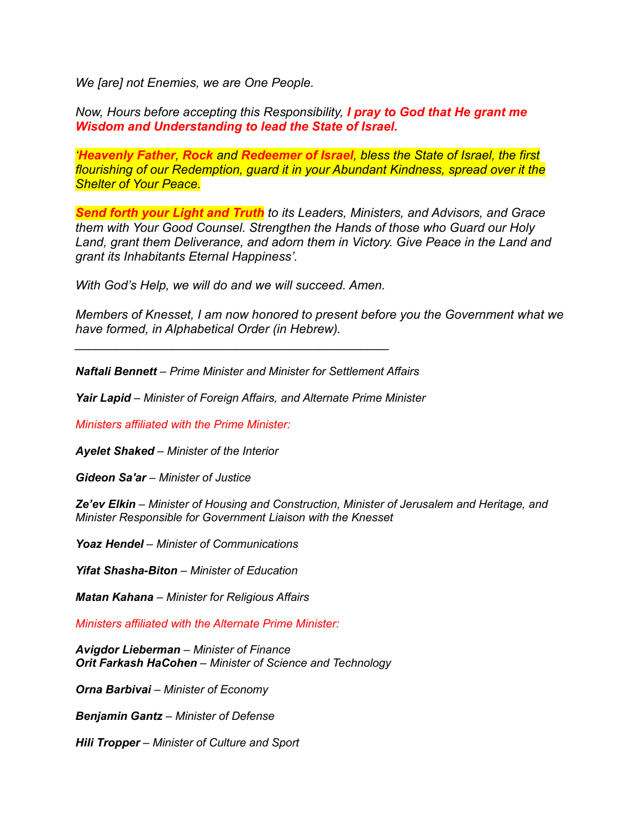*We [are] not Enemies, we are One People.*

*Now, Hours before accepting this Responsibility, I pray to God that He grant me Wisdom and Understanding to lead the State of Israel.*

*'Heavenly Father, Rock and Redeemer of Israel, bless the State of Israel, the first flourishing of our Redemption, guard it in your Abundant Kindness, spread over it the Shelter of Your Peace.*

*Send forth your Light and Truth to its Leaders, Ministers, and Advisors, and Grace them with Your Good Counsel. Strengthen the Hands of those who Guard our Holy*  Land, grant them Deliverance, and adorn them in Victory. Give Peace in the Land and *grant its Inhabitants Eternal Happiness'.*

*With God's Help, we will do and we will succeed. Amen.*

*\_\_\_\_\_\_\_\_\_\_\_\_\_\_\_\_\_\_\_\_\_\_\_\_\_\_\_\_\_\_\_\_\_\_\_\_\_\_\_\_\_\_\_\_\_*

*Members of Knesset, I am now honored to present before you the Government what we have formed, in Alphabetical Order (in Hebrew).*

*Naftali Bennett – Prime Minister and Minister for Settlement Affairs*

*Yair Lapid – Minister of Foreign Affairs, and Alternate Prime Minister*

*Ministers affiliated with the Prime Minister:*

*Ayelet Shaked – Minister of the Interior*

*Gideon Sa'ar – Minister of Justice*

*Ze'ev Elkin – Minister of Housing and Construction, Minister of Jerusalem and Heritage, and Minister Responsible for Government Liaison with the Knesset*

*Yoaz Hendel – Minister of Communications*

*Yifat Shasha-Biton – Minister of Education*

*Matan Kahana – Minister for Religious Affairs* 

*Ministers affiliated with the Alternate Prime Minister:*

*Avigdor Lieberman – Minister of Finance Orit Farkash HaCohen – Minister of Science and Technology*

*Orna Barbivai – Minister of Economy*

*Benjamin Gantz – Minister of Defense*

*Hili Tropper – Minister of Culture and Sport*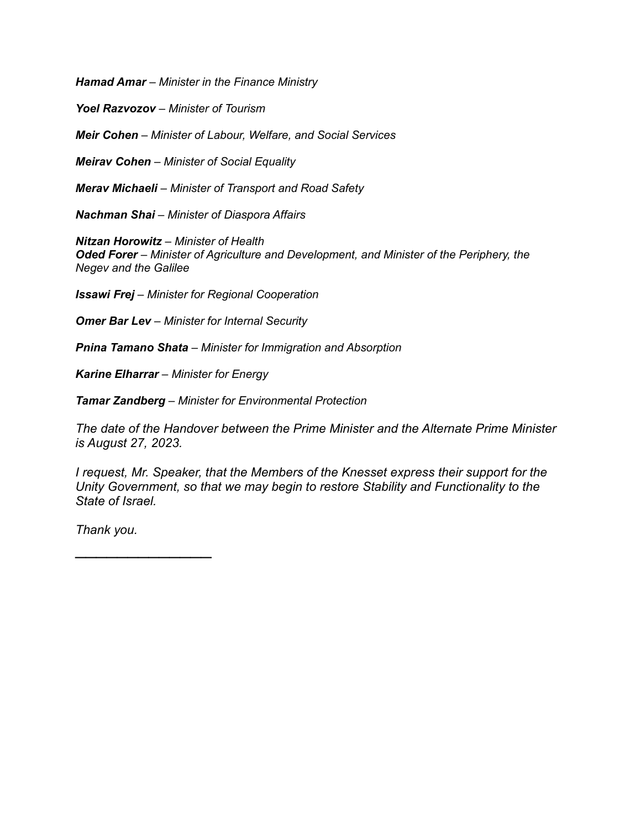*Hamad Amar – Minister in the Finance Ministry*

*Yoel Razvozov – Minister of Tourism*

*Meir Cohen – Minister of Labour, Welfare, and Social Services*

*Meirav Cohen – Minister of Social Equality*

*Merav Michaeli – Minister of Transport and Road Safety*

*Nachman Shai – Minister of Diaspora Affairs*

*Nitzan Horowitz – Minister of Health Oded Forer – Minister of Agriculture and Development, and Minister of the Periphery, the Negev and the Galilee*

*Issawi Frej – Minister for Regional Cooperation*

*Omer Bar Lev – Minister for Internal Security*

*Pnina Tamano Shata – Minister for Immigration and Absorption*

*Karine Elharrar – Minister for Energy*

*Tamar Zandberg – Minister for Environmental Protection*

*The date of the Handover between the Prime Minister and the Alternate Prime Minister is August 27, 2023.*

*I request, Mr. Speaker, that the Members of the Knesset express their support for the Unity Government, so that we may begin to restore Stability and Functionality to the State of Israel.*

*Thank you.*

 $\overline{\phantom{a}}$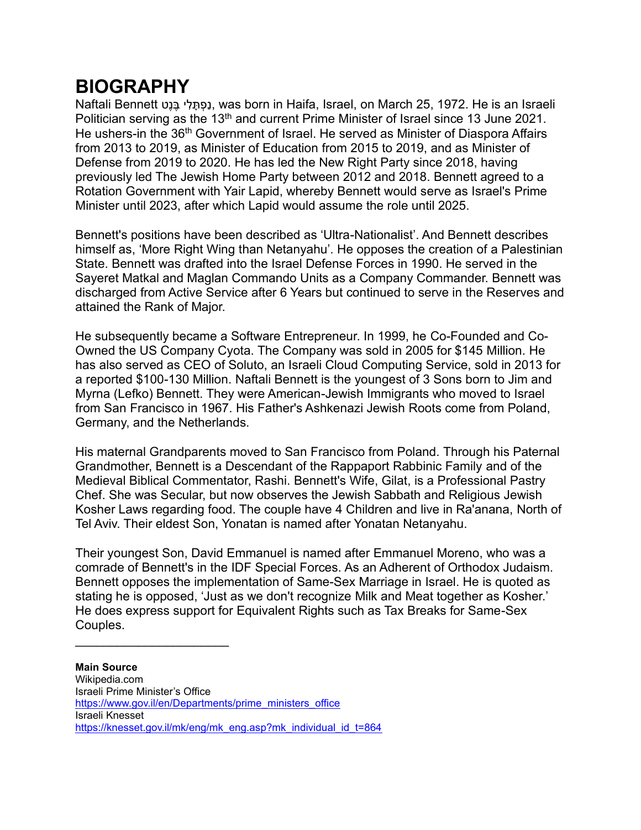## **BIOGRAPHY**

Naftali Bennett נְפְתָּלִי בֶּנֶט, was born in Haifa, Israel, on March 25, 1972. He is an Israeli Politician serving as the 13<sup>th</sup> and current Prime Minister of Israel since 13 June 2021. He ushers-in the 36<sup>th</sup> Government of Israel. He served as Minister of Diaspora Affairs from 2013 to 2019, as Minister of Education from 2015 to 2019, and as Minister of Defense from 2019 to 2020. He has led the New Right Party since 2018, having previously led The Jewish Home Party between 2012 and 2018. Bennett agreed to a Rotation Government with Yair Lapid, whereby Bennett would serve as Israel's Prime Minister until 2023, after which Lapid would assume the role until 2025.

Bennett's positions have been described as 'Ultra-Nationalist'. And Bennett describes himself as, 'More Right Wing than Netanyahu'. He opposes the creation of a Palestinian State. Bennett was drafted into the Israel Defense Forces in 1990. He served in the Sayeret Matkal and Maglan Commando Units as a Company Commander. Bennett was discharged from Active Service after 6 Years but continued to serve in the Reserves and attained the Rank of Major.

He subsequently became a Software Entrepreneur. In 1999, he Co-Founded and Co-Owned the US Company Cyota. The Company was sold in 2005 for \$145 Million. He has also served as CEO of Soluto, an Israeli Cloud Computing Service, sold in 2013 for a reported \$100-130 Million. Naftali Bennett is the youngest of 3 Sons born to Jim and Myrna (Lefko) Bennett. They were American-Jewish Immigrants who moved to Israel from San Francisco in 1967. His Father's Ashkenazi Jewish Roots come from Poland, Germany, and the Netherlands.

His maternal Grandparents moved to San Francisco from Poland. Through his Paternal Grandmother, Bennett is a Descendant of the Rappaport Rabbinic Family and of the Medieval Biblical Commentator, Rashi. Bennett's Wife, Gilat, is a Professional Pastry Chef. She was Secular, but now observes the Jewish Sabbath and Religious Jewish Kosher Laws regarding food. The couple have 4 Children and live in Ra'anana, North of Tel Aviv. Their eldest Son, Yonatan is named after Yonatan Netanyahu.

Their youngest Son, David Emmanuel is named after Emmanuel Moreno, who was a comrade of Bennett's in the IDF Special Forces. As an Adherent of Orthodox Judaism. Bennett opposes the implementation of Same-Sex Marriage in Israel. He is quoted as stating he is opposed, 'Just as we don't recognize Milk and Meat together as Kosher.' He does express support for Equivalent Rights such as Tax Breaks for Same-Sex Couples.

 $\overline{\phantom{a}}$  , and the set of the set of the set of the set of the set of the set of the set of the set of the set of the set of the set of the set of the set of the set of the set of the set of the set of the set of the s

**Main Source** Wikipedia.com Israeli Prime Minister's Office [https://www.gov.il/en/Departments/prime\\_ministers\\_office](https://www.gov.il/en/Departments/prime_ministers_office) Israeli Knesset [https://knesset.gov.il/mk/eng/mk\\_eng.asp?mk\\_individual\\_id\\_t=864](https://knesset.gov.il/mk/eng/mk_eng.asp?mk_individual_id_t=864)